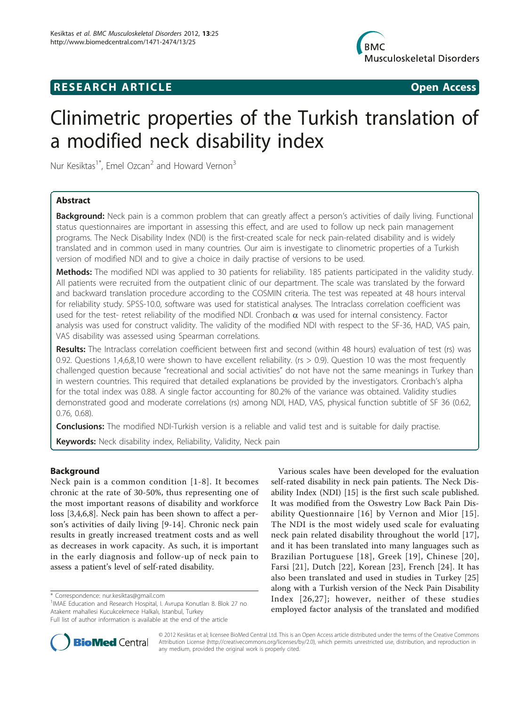# **RESEARCH ARTICLE Example 2018 Open Access**



# Clinimetric properties of the Turkish translation of a modified neck disability index

Nur Kesiktas<sup>1\*</sup>, Emel Ozcan<sup>2</sup> and Howard Vernon<sup>3</sup>

# Abstract

Background: Neck pain is a common problem that can greatly affect a person's activities of daily living. Functional status questionnaires are important in assessing this effect, and are used to follow up neck pain management programs. The Neck Disability Index (NDI) is the first-created scale for neck pain-related disability and is widely translated and in common used in many countries. Our aim is investigate to clinometric properties of a Turkish version of modified NDI and to give a choice in daily practise of versions to be used.

Methods: The modified NDI was applied to 30 patients for reliability. 185 patients participated in the validity study. All patients were recruited from the outpatient clinic of our department. The scale was translated by the forward and backward translation procedure according to the COSMIN criteria. The test was repeated at 48 hours interval for reliability study. SPSS-10.0, software was used for statistical analyses. The Intraclass correlation coefficient was used for the test- retest reliability of the modified NDI. Cronbach  $\alpha$  was used for internal consistency. Factor analysis was used for construct validity. The validity of the modified NDI with respect to the SF-36, HAD, VAS pain, VAS disability was assessed using Spearman correlations.

Results: The Intraclass correlation coefficient between first and second (within 48 hours) evaluation of test (rs) was 0.92. Questions 1,4,6,8,10 were shown to have excellent reliability. (rs > 0.9). Question 10 was the most frequently challenged question because "recreational and social activities" do not have not the same meanings in Turkey than in western countries. This required that detailed explanations be provided by the investigators. Cronbach's alpha for the total index was 0.88. A single factor accounting for 80.2% of the variance was obtained. Validity studies demonstrated good and moderate correlations (rs) among NDI, HAD, VAS, physical function subtitle of SF 36 (0.62, 0.76, 0.68).

**Conclusions:** The modified NDI-Turkish version is a reliable and valid test and is suitable for daily practise.

Keywords: Neck disability index, Reliability, Validity, Neck pain

# Background

Neck pain is a common condition [[1-8](#page-4-0)]. It becomes chronic at the rate of 30-50%, thus representing one of the most important reasons of disability and workforce loss [[3,4,6,8\]](#page-4-0). Neck pain has been shown to affect a person's activities of daily living [[9-](#page-4-0)[14\]](#page-5-0). Chronic neck pain results in greatly increased treatment costs and as well as decreases in work capacity. As such, it is important in the early diagnosis and follow-up of neck pain to assess a patient's level of self-rated disability.

Various scales have been developed for the evaluation self-rated disability in neck pain patients. The Neck Disability Index (NDI) [\[15\]](#page-5-0) is the first such scale published. It was modified from the Oswestry Low Back Pain Disability Questionnaire [[16\]](#page-5-0) by Vernon and Mior [[15\]](#page-5-0). The NDI is the most widely used scale for evaluating neck pain related disability throughout the world [[17](#page-5-0)], and it has been translated into many languages such as Brazilian Portuguese [[18](#page-5-0)], Greek [[19\]](#page-5-0), Chinese [[20\]](#page-5-0), Farsi [[21\]](#page-5-0), Dutch [[22](#page-5-0)], Korean [\[23](#page-5-0)], French [\[24\]](#page-5-0). It has also been translated and used in studies in Turkey [\[25](#page-5-0)] along with a Turkish version of the Neck Pain Disability Index [[26,27](#page-5-0)]; however, neither of these studies employed factor analysis of the translated and modified



© 2012 Kesiktas et al; licensee BioMed Central Ltd. This is an Open Access article distributed under the terms of the Creative Commons Attribution License [\(http://creativecommons.org/licenses/by/2.0](http://creativecommons.org/licenses/by/2.0)), which permits unrestricted use, distribution, and reproduction in any medium, provided the original work is properly cited.

<sup>\*</sup> Correspondence: [nur.kesiktas@gmail.com](mailto:nur.kesiktas@gmail.com)

<sup>&</sup>lt;sup>1</sup>IMAE Education and Research Hospital, I. Avrupa Konutları 8. Blok 27 no Atakent mahallesi Kucukcekmece Halkalı, Istanbul, Turkey

Full list of author information is available at the end of the article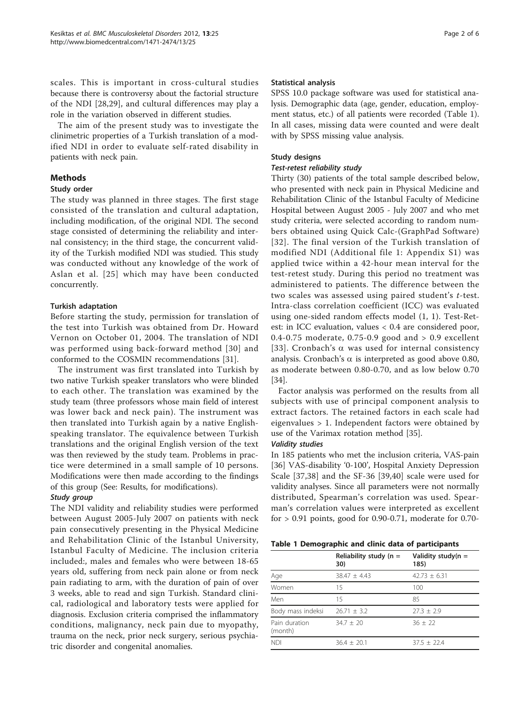<span id="page-1-0"></span>scales. This is important in cross-cultural studies because there is controversy about the factorial structure of the NDI [[28,29](#page-5-0)], and cultural differences may play a role in the variation observed in different studies.

The aim of the present study was to investigate the clinimetric properties of a Turkish translation of a modified NDI in order to evaluate self-rated disability in patients with neck pain.

# Methods

# Study order

The study was planned in three stages. The first stage consisted of the translation and cultural adaptation, including modification, of the original NDI. The second stage consisted of determining the reliability and internal consistency; in the third stage, the concurrent validity of the Turkish modified NDI was studied. This study was conducted without any knowledge of the work of Aslan et al. [[25\]](#page-5-0) which may have been conducted concurrently.

# Turkish adaptation

Before starting the study, permission for translation of the test into Turkish was obtained from Dr. Howard Vernon on October 01, 2004. The translation of NDI was performed using back-forward method [[30\]](#page-5-0) and conformed to the COSMIN recommendations [\[31](#page-5-0)].

The instrument was first translated into Turkish by two native Turkish speaker translators who were blinded to each other. The translation was examined by the study team (three professors whose main field of interest was lower back and neck pain). The instrument was then translated into Turkish again by a native Englishspeaking translator. The equivalence between Turkish translations and the original English version of the text was then reviewed by the study team. Problems in practice were determined in a small sample of 10 persons. Modifications were then made according to the findings of this group (See: Results, for modifications).

# Study group

The NDI validity and reliability studies were performed between August 2005-July 2007 on patients with neck pain consecutively presenting in the Physical Medicine and Rehabilitation Clinic of the Istanbul University, Istanbul Faculty of Medicine. The inclusion criteria included:, males and females who were between 18-65 years old, suffering from neck pain alone or from neck pain radiating to arm, with the duration of pain of over 3 weeks, able to read and sign Turkish. Standard clinical, radiological and laboratory tests were applied for diagnosis. Exclusion criteria comprised the inflammatory conditions, malignancy, neck pain due to myopathy, trauma on the neck, prior neck surgery, serious psychiatric disorder and congenital anomalies.

#### Statistical analysis

SPSS 10.0 package software was used for statistical analysis. Demographic data (age, gender, education, employment status, etc.) of all patients were recorded (Table 1). In all cases, missing data were counted and were dealt with by SPSS missing value analysis.

## Study designs

#### Test-retest reliability study

Thirty (30) patients of the total sample described below, who presented with neck pain in Physical Medicine and Rehabilitation Clinic of the Istanbul Faculty of Medicine Hospital between August 2005 - July 2007 and who met study criteria, were selected according to random numbers obtained using Quick Calc-(GraphPad Software) [[32\]](#page-5-0). The final version of the Turkish translation of modified NDI (Additional file [1](#page-4-0): Appendix S1) was applied twice within a 42-hour mean interval for the test-retest study. During this period no treatment was administered to patients. The difference between the two scales was assessed using paired student's t-test. Intra-class correlation coefficient (ICC) was evaluated using one-sided random effects model (1, 1). Test-Retest: in ICC evaluation, values < 0.4 are considered poor, 0.4-0.75 moderate, 0.75-0.9 good and  $> 0.9$  excellent [[33\]](#page-5-0). Cronbach's  $\alpha$  was used for internal consistency analysis. Cronbach's  $\alpha$  is interpreted as good above 0.80, as moderate between 0.80-0.70, and as low below 0.70 [[34\]](#page-5-0).

Factor analysis was performed on the results from all subjects with use of principal component analysis to extract factors. The retained factors in each scale had eigenvalues > 1. Independent factors were obtained by use of the Varimax rotation method [[35\]](#page-5-0).

#### Validity studies

In 185 patients who met the inclusion criteria, VAS-pain [[36\]](#page-5-0) VAS-disability '0-100', Hospital Anxiety Depression Scale [[37,38](#page-5-0)] and the SF-36 [\[39](#page-5-0),[40\]](#page-5-0) scale were used for validity analyses. Since all parameters were not normally distributed, Spearman's correlation was used. Spearman's correlation values were interpreted as excellent for > 0.91 points, good for 0.90-0.71, moderate for 0.70-

|  |  | Table 1 Demographic and clinic data of participants |  |  |  |  |  |
|--|--|-----------------------------------------------------|--|--|--|--|--|
|--|--|-----------------------------------------------------|--|--|--|--|--|

|                          | Reliability study ( $n =$<br>30) | Validity study( $n =$<br>185) |
|--------------------------|----------------------------------|-------------------------------|
| Age                      | $38.47 + 4.43$                   | $42.73 + 6.31$                |
| Women                    | 15                               | 100                           |
| Men                      | 15                               | 85                            |
| Body mass indeksi        | $26.71 + 3.2$                    | $77.3 + 7.9$                  |
| Pain duration<br>(month) | $34.7 + 20$                      | $36 + 22$                     |
| <b>NDI</b>               | $36.4 + 20.1$                    | $37.5 + 22.4$                 |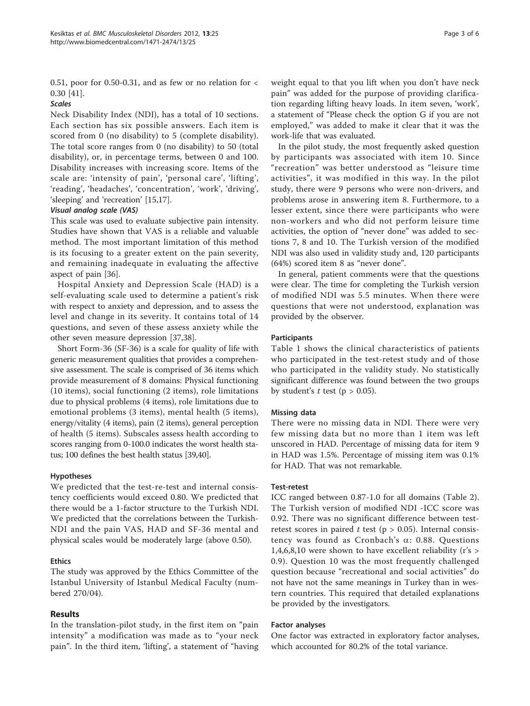0.51, poor for 0.50-0.31, and as few or no relation for  $\lt$ 0.30 [[41\]](#page-5-0).

# Scales

Neck Disability Index (NDI), has a total of 10 sections. Each section has six possible answers. Each item is scored from 0 (no disability) to 5 (complete disability). The total score ranges from 0 (no disability) to 50 (total disability), or, in percentage terms, between 0 and 100. Disability increases with increasing score. Items of the scale are: 'intensity of pain', 'personal care', 'lifting', 'reading', 'headaches', 'concentration', 'work', 'driving', 'sleeping' and 'recreation' [\[15,17\]](#page-5-0).

## Visual analog scale (VAS)

This scale was used to evaluate subjective pain intensity. Studies have shown that VAS is a reliable and valuable method. The most important limitation of this method is its focusing to a greater extent on the pain severity, and remaining inadequate in evaluating the affective aspect of pain [\[36\]](#page-5-0).

Hospital Anxiety and Depression Scale (HAD) is a self-evaluating scale used to determine a patient's risk with respect to anxiety and depression, and to assess the level and change in its severity. It contains total of 14 questions, and seven of these assess anxiety while the other seven measure depression [\[37,38\]](#page-5-0).

Short Form-36 (SF-36) is a scale for quality of life with generic measurement qualities that provides a comprehensive assessment. The scale is comprised of 36 items which provide measurement of 8 domains: Physical functioning (10 items), social functioning (2 items), role limitations due to physical problems (4 items), role limitations due to emotional problems (3 items), mental health (5 items), energy/vitality (4 items), pain (2 items), general perception of health (5 items). Subscales assess health according to scores ranging from 0-100.0 indicates the worst health status; 100 defines the best health status [[39,40](#page-5-0)].

#### Hypotheses

We predicted that the test-re-test and internal consistency coefficients would exceed 0.80. We predicted that there would be a 1-factor structure to the Turkish NDI. We predicted that the correlations between the Turkish-NDI and the pain VAS, HAD and SF-36 mental and physical scales would be moderately large (above 0.50).

#### Ethics

The study was approved by the Ethics Committee of the Istanbul University of Istanbul Medical Faculty (numbered 270/04).

#### Results

In the translation-pilot study, in the first item on "pain intensity" a modification was made as to "your neck pain". In the third item, 'lifting', a statement of "having

weight equal to that you lift when you don't have neck pain" was added for the purpose of providing clarification regarding lifting heavy loads. In item seven, 'work', a statement of "Please check the option G if you are not employed," was added to make it clear that it was the work-life that was evaluated.

In the pilot study, the most frequently asked question by participants was associated with item 10. Since "recreation" was better understood as "leisure time activities", it was modified in this way. In the pilot study, there were 9 persons who were non-drivers, and problems arose in answering item 8. Furthermore, to a lesser extent, since there were participants who were non-workers and who did not perform leisure time activities, the option of "never done" was added to sections 7, 8 and 10. The Turkish version of the modified NDI was also used in validity study and, 120 participants (64%) scored item 8 as "never done".

In general, patient comments were that the questions were clear. The time for completing the Turkish version of modified NDI was 5.5 minutes. When there were questions that were not understood, explanation was provided by the observer.

#### **Participants**

Table [1](#page-1-0) shows the clinical characteristics of patients who participated in the test-retest study and of those who participated in the validity study. No statistically significant difference was found between the two groups by student's  $t$  test ( $p > 0.05$ ).

#### Missing data

There were no missing data in NDI. There were very few missing data but no more than 1 item was left unscored in HAD. Percentage of missing data for item 9 in HAD was 1.5%. Percentage of missing item was 0.1% for HAD. That was not remarkable.

#### Test-retest

ICC ranged between 0.87-1.0 for all domains (Table [2](#page-3-0)). The Turkish version of modified NDI -ICC score was 0.92. There was no significant difference between testretest scores in paired  $t$  test (p > 0.05). Internal consistency was found as Cronbach's  $\alpha$ : 0.88. Questions 1,4,6,8,10 were shown to have excellent reliability (r's > 0.9). Question 10 was the most frequently challenged question because "recreational and social activities" do not have not the same meanings in Turkey than in western countries. This required that detailed explanations be provided by the investigators.

#### Factor analyses

One factor was extracted in exploratory factor analyses, which accounted for 80.2% of the total variance.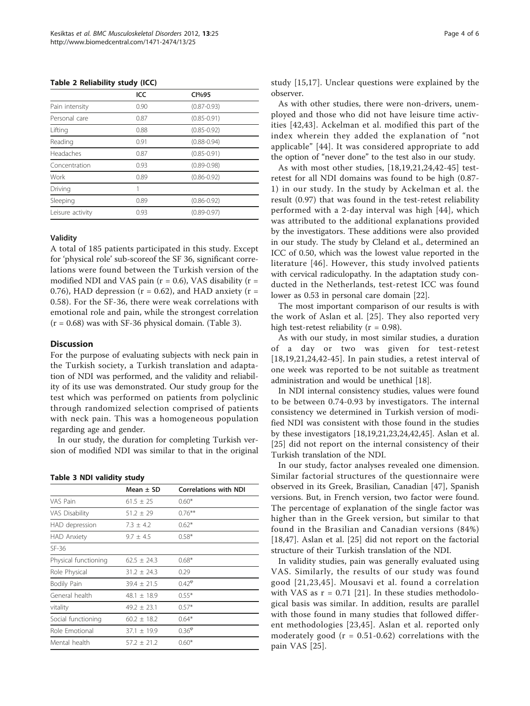<span id="page-3-0"></span>

|  |  | Table 2 Reliability study (ICC) |
|--|--|---------------------------------|
|--|--|---------------------------------|

|                  | ICC  | Cl%95           |
|------------------|------|-----------------|
| Pain intensity   | 0.90 | $(0.87 - 0.93)$ |
| Personal care    | 0.87 | $(0.85 - 0.91)$ |
| Lifting          | 0.88 | $(0.85 - 0.92)$ |
| Reading          | 0.91 | $(0.88 - 0.94)$ |
| Headaches        | 0.87 | $(0.85 - 0.91)$ |
| Concentration    | 0.93 | $(0.89 - 0.98)$ |
| Work             | 0.89 | $(0.86 - 0.92)$ |
| Driving          | 1    |                 |
| Sleeping         | 0.89 | $(0.86 - 0.92)$ |
| Leisure activity | 0.93 | $(0.89 - 0.97)$ |

#### Validity

A total of 185 patients participated in this study. Except for 'physical role' sub-scoreof the SF 36, significant correlations were found between the Turkish version of the modified NDI and VAS pain ( $r = 0.6$ ), VAS disability ( $r =$ 0.76), HAD depression ( $r = 0.62$ ), and HAD anxiety ( $r =$ 0.58). For the SF-36, there were weak correlations with emotional role and pain, while the strongest correlation  $(r = 0.68)$  was with SF-36 physical domain. (Table 3).

# **Discussion**

For the purpose of evaluating subjects with neck pain in the Turkish society, a Turkish translation and adaptation of NDI was performed, and the validity and reliability of its use was demonstrated. Our study group for the test which was performed on patients from polyclinic through randomized selection comprised of patients with neck pain. This was a homogeneous population regarding age and gender.

In our study, the duration for completing Turkish version of modified NDI was similar to that in the original

Table 3 NDI validity study

|                      | Mean $\pm$ SD   | <b>Correlations with NDI</b> |
|----------------------|-----------------|------------------------------|
| VAS Pain             | $61.5 \pm 25$   | $0.60*$                      |
| VAS Disability       | $51.2 \pm 29$   | $0.76***$                    |
| HAD depression       | $7.3 \pm 4.2$   | $0.62*$                      |
| <b>HAD Anxiety</b>   | $9.7 + 4.5$     | $0.58*$                      |
| $SF-36$              |                 |                              |
| Physical functioning | $62.5 \pm 24.3$ | $0.68*$                      |
| Role Physical        | $31.2 \pm 24.3$ | 0.29                         |
| Bodily Pain          | $39.4 + 21.5$   | $0.42^{\circ}$               |
| General health       | $48.1 + 18.9$   | $0.55*$                      |
| vitality             | $49.2 + 23.1$   | $0.57*$                      |
| Social functioning   | $60.2 + 18.2$   | $0.64*$                      |
| Role Emotional       | $37.1 + 19.9$   | $0.36^{\varphi}$             |
| Mental health        | $57.2 \pm 21.2$ | $0.60*$                      |

study [[15,17](#page-5-0)]. Unclear questions were explained by the observer.

As with other studies, there were non-drivers, unemployed and those who did not have leisure time activities [[42](#page-5-0),[43\]](#page-5-0). Ackelman et al. modified this part of the index wherein they added the explanation of "not applicable" [[44\]](#page-5-0). It was considered appropriate to add the option of "never done" to the test also in our study.

As with most other studies, [[18,19](#page-5-0),[21,24](#page-5-0),[42-45\]](#page-5-0) testretest for all NDI domains was found to be high (0.87- 1) in our study. In the study by Ackelman et al. the result (0.97) that was found in the test-retest reliability performed with a 2-day interval was high [\[44\]](#page-5-0), which was attributed to the additional explanations provided by the investigators. These additions were also provided in our study. The study by Cleland et al., determined an ICC of 0.50, which was the lowest value reported in the literature [[46\]](#page-5-0). However, this study involved patients with cervical radiculopathy. In the adaptation study conducted in the Netherlands, test-retest ICC was found lower as 0.53 in personal care domain [[22\]](#page-5-0).

The most important comparison of our results is with the work of Aslan et al. [\[25\]](#page-5-0). They also reported very high test-retest reliability ( $r = 0.98$ ).

As with our study, in most similar studies, a duration of a day or two was given for test-retest [[18,19,21,24](#page-5-0),[42-45\]](#page-5-0). In pain studies, a retest interval of one week was reported to be not suitable as treatment administration and would be unethical [\[18\]](#page-5-0).

In NDI internal consistency studies, values were found to be between 0.74-0.93 by investigators. The internal consistency we determined in Turkish version of modified NDI was consistent with those found in the studies by these investigators [[18](#page-5-0),[19,21,23,24,42,45](#page-5-0)]. Aslan et al. [[25](#page-5-0)] did not report on the internal consistency of their Turkish translation of the NDI.

In our study, factor analyses revealed one dimension. Similar factorial structures of the questionnaire were observed in its Greek, Brasilian, Canadian [[47\]](#page-5-0), Spanish versions. But, in French version, two factor were found. The percentage of explanation of the single factor was higher than in the Greek version, but similar to that found in the Brasilian and Canadian versions (84%) [[18,47](#page-5-0)]. Aslan et al. [[25\]](#page-5-0) did not report on the factorial structure of their Turkish translation of the NDI.

In validity studies, pain was generally evaluated using VAS. Similarly, the results of our study was found good [[21](#page-5-0),[23](#page-5-0),[45\]](#page-5-0). Mousavi et al. found a correlation with VAS as  $r = 0.71$  [\[21](#page-5-0)]. In these studies methodological basis was similar. In addition, results are parallel with those found in many studies that followed different methodologies [[23](#page-5-0),[45](#page-5-0)]. Aslan et al. reported only moderately good ( $r = 0.51 - 0.62$ ) correlations with the pain VAS [[25\]](#page-5-0).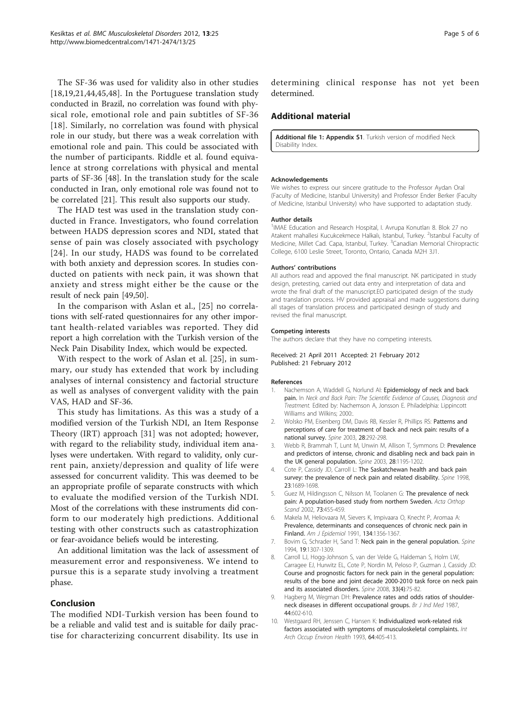<span id="page-4-0"></span>The SF-36 was used for validity also in other studies [[18,19](#page-5-0),[21,44,45](#page-5-0),[48\]](#page-5-0). In the Portuguese translation study conducted in Brazil, no correlation was found with physical role, emotional role and pain subtitles of SF-36 [[18](#page-5-0)]. Similarly, no correlation was found with physical role in our study, but there was a weak correlation with emotional role and pain. This could be associated with the number of participants. Riddle et al. found equivalence at strong correlations with physical and mental parts of SF-36 [\[48](#page-5-0)]. In the translation study for the scale conducted in Iran, only emotional role was found not to be correlated [[21](#page-5-0)]. This result also supports our study.

The HAD test was used in the translation study conducted in France. Investigators, who found correlation between HADS depression scores and NDI, stated that sense of pain was closely associated with psychology [[24\]](#page-5-0). In our study, HADS was found to be correlated with both anxiety and depression scores. In studies conducted on patients with neck pain, it was shown that anxiety and stress might either be the cause or the result of neck pain [\[49,50\]](#page-5-0).

In the comparison with Aslan et al., [\[25\]](#page-5-0) no correlations with self-rated questionnaires for any other important health-related variables was reported. They did report a high correlation with the Turkish version of the Neck Pain Disability Index, which would be expected.

With respect to the work of Aslan et al. [\[25](#page-5-0)], in summary, our study has extended that work by including analyses of internal consistency and factorial structure as well as analyses of convergent validity with the pain VAS, HAD and SF-36.

This study has limitations. As this was a study of a modified version of the Turkish NDI, an Item Response Theory (IRT) approach [\[31](#page-5-0)] was not adopted; however, with regard to the reliability study, individual item analyses were undertaken. With regard to validity, only current pain, anxiety/depression and quality of life were assessed for concurrent validity. This was deemed to be an appropriate profile of separate constructs with which to evaluate the modified version of the Turkish NDI. Most of the correlations with these instruments did conform to our moderately high predictions. Additional testing with other constructs such as catastrophization or fear-avoidance beliefs would be interesting.

An additional limitation was the lack of assessment of measurement error and responsiveness. We intend to pursue this is a separate study involving a treatment phase.

# Conclusion

The modified NDI-Turkish version has been found to be a reliable and valid test and is suitable for daily practise for characterizing concurrent disability. Its use in determining clinical response has not yet been determined.

# Additional material

[Additional file 1: A](http://www.biomedcentral.com/content/supplementary/1471-2474-13-25-S1.DOC)ppendix S1. Turkish version of modified Neck Disability Index.

#### Acknowledgements

We wishes to express our sincere gratitude to the Professor Aydan Oral (Faculty of Medicine, Istanbul University) and Professor Ender Berker (Faculty of Medicine, Istanbul University) who have supported to adaptation study.

#### Author details

<sup>1</sup>IMAE Education and Research Hospital, I. Avrupa Konutları 8. Blok 27 no Atakent mahallesi Kucukcekmece Halkalı, Istanbul, Turkey. <sup>2</sup>Istanbul Faculty of Medicine, Millet Cad. Capa, Istanbul, Turkey. <sup>3</sup>Canadian Memorial Chiropractic College, 6100 Leslie Street, Toronto, Ontario, Canada M2H 3J1.

#### Authors' contributions

All authors read and appoved the final manuscript. NK participated in study design, pretesting, carried out data entry and interpretation of data and wrote the final draft of the manuscript.EO participated design of the study and translation process. HV provided appraisal and made suggestions during all stages of translation process and participated desingn of study and revised the final manuscript.

#### Competing interests

The authors declare that they have no competing interests.

#### Received: 21 April 2011 Accepted: 21 February 2012 Published: 21 February 2012

#### References

- 1. Nachemson A, Waddell G, Norlund AI: Epidemiology of neck and back pain. In Neck and Back Pain: The Scientific Evidence of Causes, Diagnosis and Treatment. Edited by: Nachemson A, Jonsson E. Philadelphia: Lippincott Williams and Wilkins: 2000:
- 2. Wolsko PM, Eisenberg DM, Davis RB, Kessler R, Phillips RS: Patterns and perceptions of care for treatment of back and neck pain: results of a national survey. Spine 2003, 28:292-298.
- 3. Webb R, Brammah T, Lunt M, Unwin M, Allison T, Symmons D: Prevalence and predictors of intense, chronic and disabling neck and back pain in the UK general population. Spine 2003, 28:1195-1202.
- 4. Cote P, Cassidy JD, Carroll L: The Saskatchewan health and back pain survey: the prevalence of neck pain and related disability. Spine 1998, 23:1689-1698.
- Guez M, Hildingsson C, Nilsson M, Toolanen G: The prevalence of neck pain: A population-based study from northern Sweden. Acta Orthop Scand 2002, 73:455-459.
- 6. Makela M, Heliovaara M, Sievers K, Impivaara O, Knecht P, Aromaa A: Prevalence, determinants and consequences of chronic neck pain in Finland. Am J Epidemiol 1991, 134:1356-1367.
- Bovim G, Schrader H, Sand T: Neck pain in the general population. Spine 1994, 19:1307-1309.
- 8. Carroll LJ, Hogg-Johnson S, van der Velde G, Haldeman S, Holm LW, Carragee EJ, Hurwitz EL, Cote P, Nordin M, Peloso P, Guzman J, Cassidy JD: Course and prognostic factors for neck pain in the general population: results of the bone and joint decade 2000-2010 task force on neck pain and its associated disorders. Spine 2008, 33(4):75-82.
- 9. Hagberg M, Wegman DH: Prevalence rates and odds ratios of shoulderneck diseases in different occupational groups. Br J Ind Med 1987, 44:602-610.
- 10. Westgaard RH, Jenssen C, Hansen K: Individualized work-related risk factors associated with symptoms of musculoskeletal complaints. Int Arch Occup Environ Health 1993, 64:405-413.